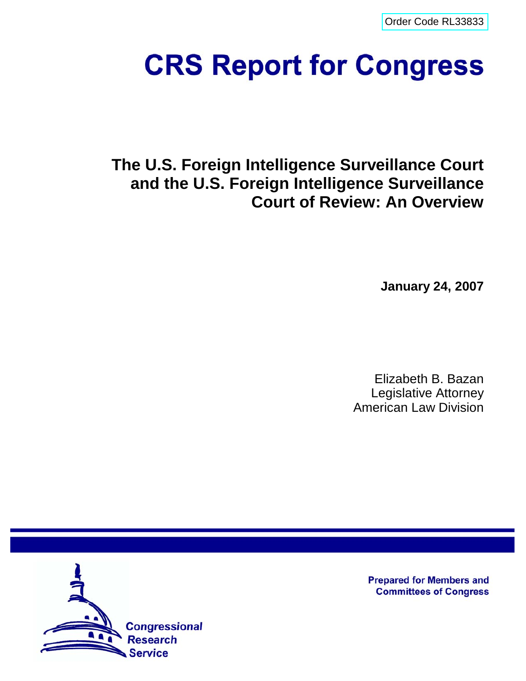[Order Code RL33833](http://www.fas.org/sgp/crs/intel/index.html)

# **CRS Report for Congress**

**The U.S. Foreign Intelligence Surveillance Court and the U.S. Foreign Intelligence Surveillance Court of Review: An Overview**

**January 24, 2007**

Elizabeth B. Bazan Legislative Attorney American Law Division



**Prepared for Members and Committees of Congress**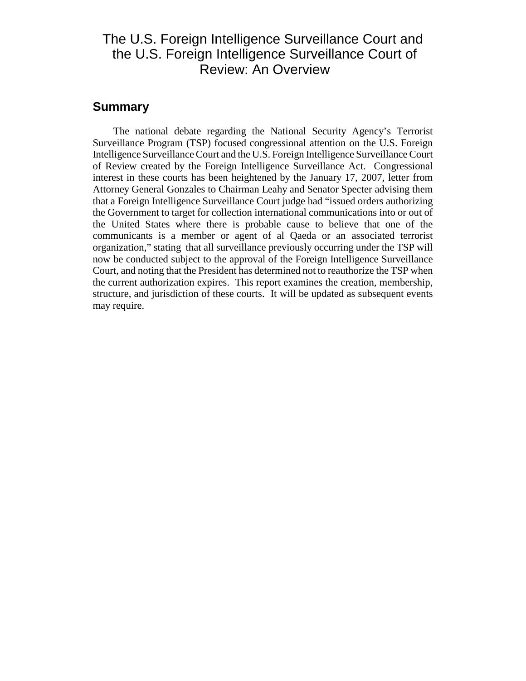## The U.S. Foreign Intelligence Surveillance Court and the U.S. Foreign Intelligence Surveillance Court of Review: An Overview

#### **Summary**

The national debate regarding the National Security Agency's Terrorist Surveillance Program (TSP) focused congressional attention on the U.S. Foreign Intelligence Surveillance Court and the U.S. Foreign Intelligence Surveillance Court of Review created by the Foreign Intelligence Surveillance Act. Congressional interest in these courts has been heightened by the January 17, 2007, letter from Attorney General Gonzales to Chairman Leahy and Senator Specter advising them that a Foreign Intelligence Surveillance Court judge had "issued orders authorizing the Government to target for collection international communications into or out of the United States where there is probable cause to believe that one of the communicants is a member or agent of al Qaeda or an associated terrorist organization," stating that all surveillance previously occurring under the TSP will now be conducted subject to the approval of the Foreign Intelligence Surveillance Court, and noting that the President has determined not to reauthorize the TSP when the current authorization expires. This report examines the creation, membership, structure, and jurisdiction of these courts. It will be updated as subsequent events may require.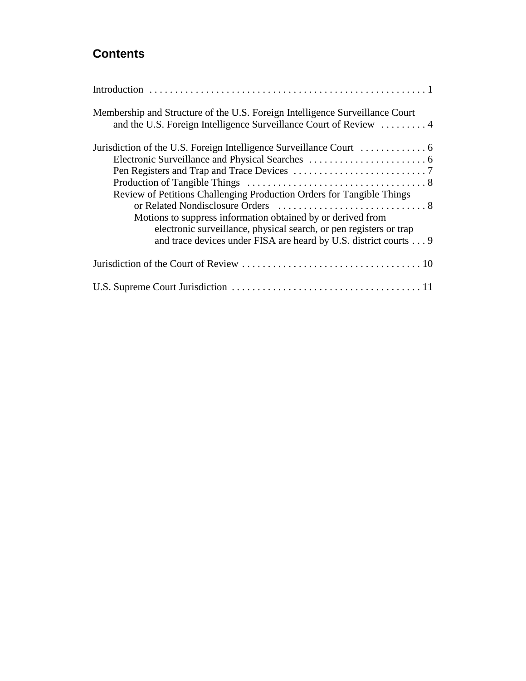## **Contents**

| Membership and Structure of the U.S. Foreign Intelligence Surveillance Court<br>and the U.S. Foreign Intelligence Surveillance Court of Review  4                                                                                                                              |
|--------------------------------------------------------------------------------------------------------------------------------------------------------------------------------------------------------------------------------------------------------------------------------|
|                                                                                                                                                                                                                                                                                |
| Review of Petitions Challenging Production Orders for Tangible Things<br>Motions to suppress information obtained by or derived from<br>electronic surveillance, physical search, or pen registers or trap<br>and trace devices under FISA are heard by U.S. district courts 9 |
|                                                                                                                                                                                                                                                                                |
|                                                                                                                                                                                                                                                                                |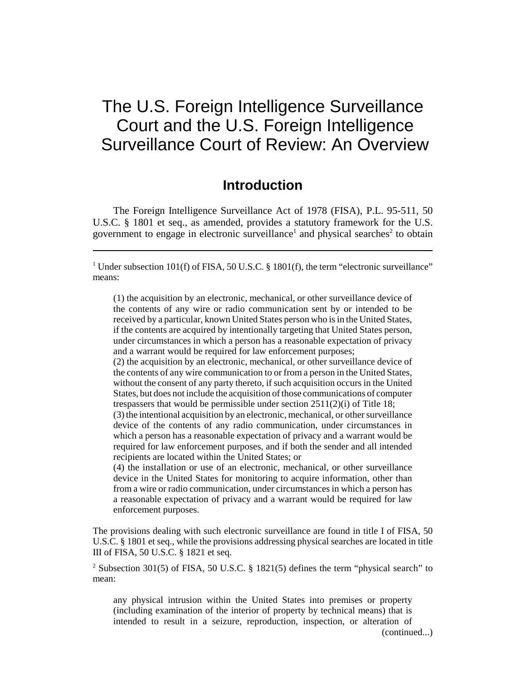## The U.S. Foreign Intelligence Surveillance Court and the U.S. Foreign Intelligence Surveillance Court of Review: An Overview

## **Introduction**

The Foreign Intelligence Surveillance Act of 1978 (FISA), P.L. 95-511, 50 U.S.C. § 1801 et seq., as amended, provides a statutory framework for the U.S. government to engage in electronic surveillance<sup>1</sup> and physical searches<sup>2</sup> to obtain

<sup>1</sup> Under subsection 101(f) of FISA, 50 U.S.C. § 1801(f), the term "electronic surveillance" means:

(1) the acquisition by an electronic, mechanical, or other surveillance device of the contents of any wire or radio communication sent by or intended to be received by a particular, known United States person who is in the United States, if the contents are acquired by intentionally targeting that United States person, under circumstances in which a person has a reasonable expectation of privacy and a warrant would be required for law enforcement purposes;

(2) the acquisition by an electronic, mechanical, or other surveillance device of the contents of any wire communication to or from a person in the United States, without the consent of any party thereto, if such acquisition occurs in the United States, but does not include the acquisition of those communications of computer trespassers that would be permissible under section 2511(2)(i) of Title 18;

(3) the intentional acquisition by an electronic, mechanical, or other surveillance device of the contents of any radio communication, under circumstances in which a person has a reasonable expectation of privacy and a warrant would be required for law enforcement purposes, and if both the sender and all intended recipients are located within the United States; or

(4) the installation or use of an electronic, mechanical, or other surveillance device in the United States for monitoring to acquire information, other than from a wire or radio communication, under circumstances in which a person has a reasonable expectation of privacy and a warrant would be required for law enforcement purposes.

The provisions dealing with such electronic surveillance are found in title I of FISA, 50 U.S.C. § 1801 et seq., while the provisions addressing physical searches are located in title III of FISA, 50 U.S.C. § 1821 et seq.

<sup>2</sup> Subsection 301(5) of FISA, 50 U.S.C. § 1821(5) defines the term "physical search" to mean:

any physical intrusion within the United States into premises or property (including examination of the interior of property by technical means) that is intended to result in a seizure, reproduction, inspection, or alteration of

(continued...)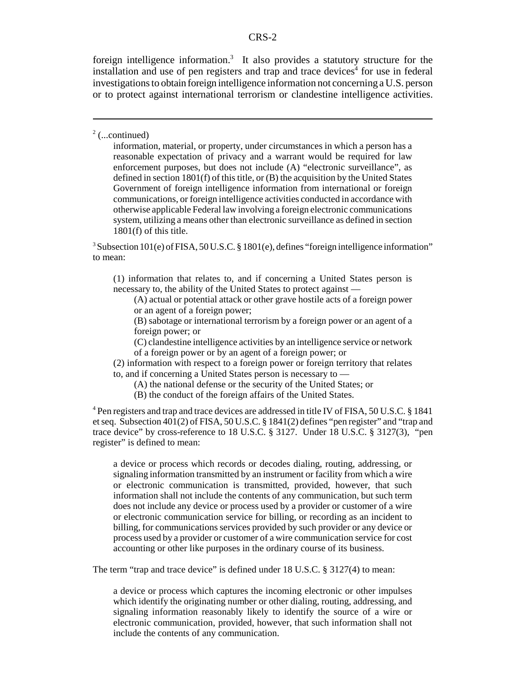#### CRS-2

foreign intelligence information.<sup>3</sup> It also provides a statutory structure for the installation and use of pen registers and trap and trace devices<sup>4</sup> for use in federal investigations to obtain foreign intelligence information not concerning a U.S. person or to protect against international terrorism or clandestine intelligence activities.

#### $2$  (...continued)

information, material, or property, under circumstances in which a person has a reasonable expectation of privacy and a warrant would be required for law enforcement purposes, but does not include (A) "electronic surveillance", as defined in section 1801(f) of this title, or (B) the acquisition by the United States Government of foreign intelligence information from international or foreign communications, or foreign intelligence activities conducted in accordance with otherwise applicable Federal law involving a foreign electronic communications system, utilizing a means other than electronic surveillance as defined in section 1801(f) of this title.

<sup>3</sup> Subsection 101(e) of FISA, 50 U.S.C. § 1801(e), defines "foreign intelligence information" to mean:

(1) information that relates to, and if concerning a United States person is necessary to, the ability of the United States to protect against —

(A) actual or potential attack or other grave hostile acts of a foreign power or an agent of a foreign power;

(B) sabotage or international terrorism by a foreign power or an agent of a foreign power; or

(C) clandestine intelligence activities by an intelligence service or network

of a foreign power or by an agent of a foreign power; or

(2) information with respect to a foreign power or foreign territory that relates to, and if concerning a United States person is necessary to —

(A) the national defense or the security of the United States; or

(B) the conduct of the foreign affairs of the United States.

<sup>4</sup> Pen registers and trap and trace devices are addressed in title IV of FISA, 50 U.S.C. § 1841 et seq. Subsection 401(2) of FISA, 50 U.S.C. § 1841(2) defines "pen register" and "trap and trace device" by cross-reference to 18 U.S.C. § 3127. Under 18 U.S.C. § 3127(3), "pen register" is defined to mean:

a device or process which records or decodes dialing, routing, addressing, or signaling information transmitted by an instrument or facility from which a wire or electronic communication is transmitted, provided, however, that such information shall not include the contents of any communication, but such term does not include any device or process used by a provider or customer of a wire or electronic communication service for billing, or recording as an incident to billing, for communications services provided by such provider or any device or process used by a provider or customer of a wire communication service for cost accounting or other like purposes in the ordinary course of its business.

The term "trap and trace device" is defined under 18 U.S.C. § 3127(4) to mean:

a device or process which captures the incoming electronic or other impulses which identify the originating number or other dialing, routing, addressing, and signaling information reasonably likely to identify the source of a wire or electronic communication, provided, however, that such information shall not include the contents of any communication.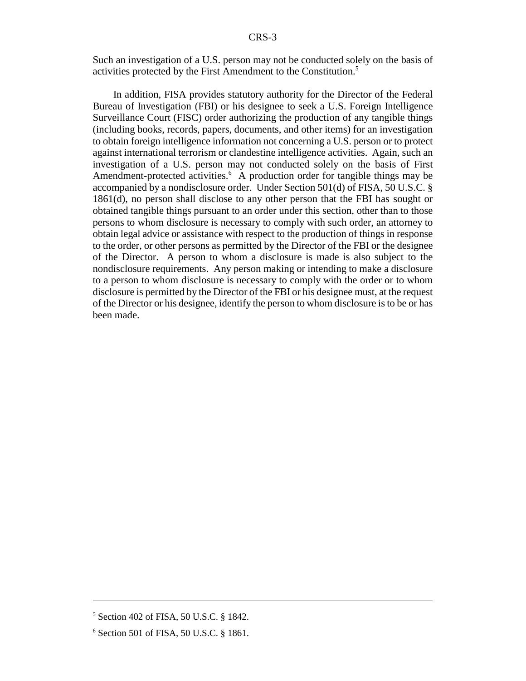Such an investigation of a U.S. person may not be conducted solely on the basis of activities protected by the First Amendment to the Constitution.5

In addition, FISA provides statutory authority for the Director of the Federal Bureau of Investigation (FBI) or his designee to seek a U.S. Foreign Intelligence Surveillance Court (FISC) order authorizing the production of any tangible things (including books, records, papers, documents, and other items) for an investigation to obtain foreign intelligence information not concerning a U.S. person or to protect against international terrorism or clandestine intelligence activities. Again, such an investigation of a U.S. person may not conducted solely on the basis of First Amendment-protected activities.<sup>6</sup> A production order for tangible things may be accompanied by a nondisclosure order. Under Section 501(d) of FISA, 50 U.S.C. § 1861(d), no person shall disclose to any other person that the FBI has sought or obtained tangible things pursuant to an order under this section, other than to those persons to whom disclosure is necessary to comply with such order, an attorney to obtain legal advice or assistance with respect to the production of things in response to the order, or other persons as permitted by the Director of the FBI or the designee of the Director. A person to whom a disclosure is made is also subject to the nondisclosure requirements. Any person making or intending to make a disclosure to a person to whom disclosure is necessary to comply with the order or to whom disclosure is permitted by the Director of the FBI or his designee must, at the request of the Director or his designee, identify the person to whom disclosure is to be or has been made.

<sup>5</sup> Section 402 of FISA, 50 U.S.C. § 1842.

<sup>6</sup> Section 501 of FISA, 50 U.S.C. § 1861.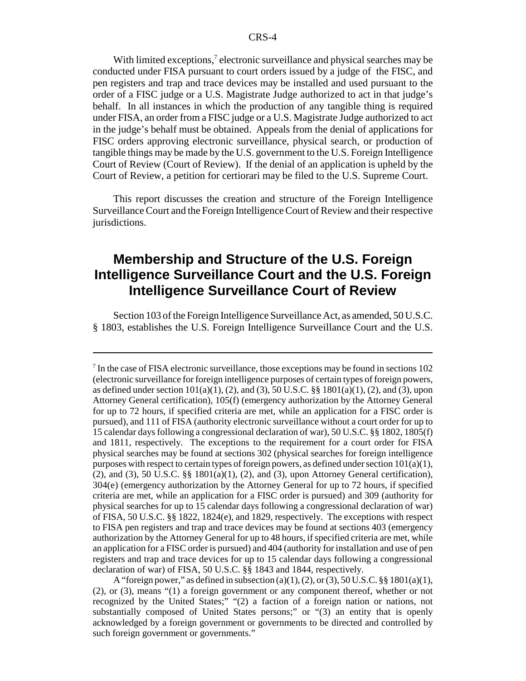With limited exceptions,<sup>7</sup> electronic surveillance and physical searches may be conducted under FISA pursuant to court orders issued by a judge of the FISC, and pen registers and trap and trace devices may be installed and used pursuant to the order of a FISC judge or a U.S. Magistrate Judge authorized to act in that judge's behalf. In all instances in which the production of any tangible thing is required under FISA, an order from a FISC judge or a U.S. Magistrate Judge authorized to act in the judge's behalf must be obtained. Appeals from the denial of applications for FISC orders approving electronic surveillance, physical search, or production of tangible things may be made by the U.S. government to the U.S. Foreign Intelligence Court of Review (Court of Review). If the denial of an application is upheld by the Court of Review, a petition for certiorari may be filed to the U.S. Supreme Court.

This report discusses the creation and structure of the Foreign Intelligence Surveillance Court and the Foreign Intelligence Court of Review and their respective jurisdictions.

## **Membership and Structure of the U.S. Foreign Intelligence Surveillance Court and the U.S. Foreign Intelligence Surveillance Court of Review**

Section 103 of the Foreign Intelligence Surveillance Act, as amended, 50 U.S.C. § 1803, establishes the U.S. Foreign Intelligence Surveillance Court and the U.S.

<sup>&</sup>lt;sup>7</sup> In the case of FISA electronic surveillance, those exceptions may be found in sections 102 (electronic surveillance for foreign intelligence purposes of certain types of foreign powers, as defined under section  $101(a)(1)$ , (2), and (3), 50 U.S.C. §§ 1801(a)(1), (2), and (3), upon Attorney General certification), 105(f) (emergency authorization by the Attorney General for up to 72 hours, if specified criteria are met, while an application for a FISC order is pursued), and 111 of FISA (authority electronic surveillance without a court order for up to 15 calendar days following a congressional declaration of war), 50 U.S.C. §§ 1802, 1805(f) and 1811, respectively. The exceptions to the requirement for a court order for FISA physical searches may be found at sections 302 (physical searches for foreign intelligence purposes with respect to certain types of foreign powers, as defined under section  $101(a)(1)$ ,  $(2)$ , and  $(3)$ , 50 U.S.C. §§ 1801 $(a)(1)$ ,  $(2)$ , and  $(3)$ , upon Attorney General certification), 304(e) (emergency authorization by the Attorney General for up to 72 hours, if specified criteria are met, while an application for a FISC order is pursued) and 309 (authority for physical searches for up to 15 calendar days following a congressional declaration of war) of FISA, 50 U.S.C. §§ 1822, 1824(e), and 1829, respectively. The exceptions with respect to FISA pen registers and trap and trace devices may be found at sections 403 (emergency authorization by the Attorney General for up to 48 hours, if specified criteria are met, while an application for a FISC order is pursued) and 404 (authority for installation and use of pen registers and trap and trace devices for up to 15 calendar days following a congressional declaration of war) of FISA, 50 U.S.C. §§ 1843 and 1844, respectively.

A "foreign power," as defined in subsection (a)(1), (2), or (3), 50 U.S.C. §§ 1801(a)(1), (2), or (3), means "(1) a foreign government or any component thereof, whether or not recognized by the United States;" "(2) a faction of a foreign nation or nations, not substantially composed of United States persons;" or "(3) an entity that is openly acknowledged by a foreign government or governments to be directed and controlled by such foreign government or governments."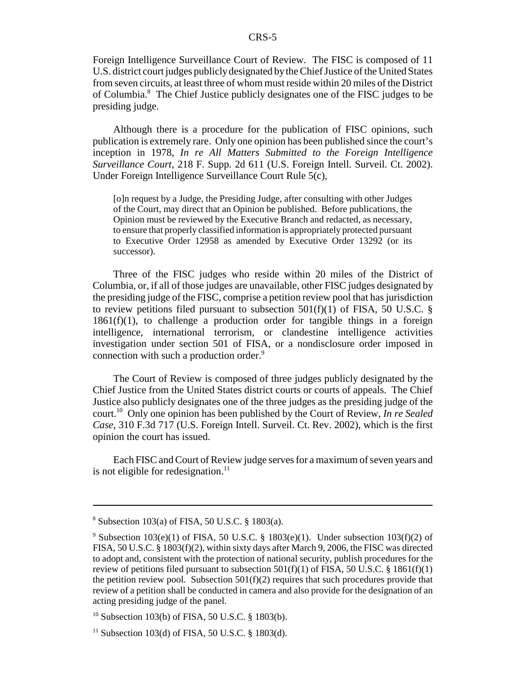Foreign Intelligence Surveillance Court of Review. The FISC is composed of 11 U.S. district court judges publicly designated by the Chief Justice of the United States from seven circuits, at least three of whom must reside within 20 miles of the District of Columbia.<sup>8</sup> The Chief Justice publicly designates one of the FISC judges to be presiding judge.

Although there is a procedure for the publication of FISC opinions, such publication is extremely rare. Only one opinion has been published since the court's inception in 1978, *In re All Matters Submitted to the Foreign Intelligence Surveillance Court*, 218 F. Supp. 2d 611 (U.S. Foreign Intell. Surveil. Ct. 2002). Under Foreign Intelligence Surveillance Court Rule 5(c),

[o]n request by a Judge, the Presiding Judge, after consulting with other Judges of the Court, may direct that an Opinion be published. Before publications, the Opinion must be reviewed by the Executive Branch and redacted, as necessary, to ensure that properly classified information is appropriately protected pursuant to Executive Order 12958 as amended by Executive Order 13292 (or its successor).

Three of the FISC judges who reside within 20 miles of the District of Columbia, or, if all of those judges are unavailable, other FISC judges designated by the presiding judge of the FISC, comprise a petition review pool that has jurisdiction to review petitions filed pursuant to subsection  $501(f)(1)$  of FISA, 50 U.S.C. §  $1861(f)(1)$ , to challenge a production order for tangible things in a foreign intelligence, international terrorism, or clandestine intelligence activities investigation under section 501 of FISA, or a nondisclosure order imposed in connection with such a production order.<sup>9</sup>

The Court of Review is composed of three judges publicly designated by the Chief Justice from the United States district courts or courts of appeals. The Chief Justice also publicly designates one of the three judges as the presiding judge of the court.10 Only one opinion has been published by the Court of Review, *In re Sealed Case*, 310 F.3d 717 (U.S. Foreign Intell. Surveil. Ct. Rev. 2002), which is the first opinion the court has issued.

Each FISC and Court of Review judge serves for a maximum of seven years and is not eligible for redesignation. $^{11}$ 

<sup>8</sup> Subsection 103(a) of FISA, 50 U.S.C. § 1803(a).

<sup>&</sup>lt;sup>9</sup> Subsection 103(e)(1) of FISA, 50 U.S.C. § 1803(e)(1). Under subsection 103(f)(2) of FISA, 50 U.S.C. § 1803(f)(2), within sixty days after March 9, 2006, the FISC was directed to adopt and, consistent with the protection of national security, publish procedures for the review of petitions filed pursuant to subsection  $501(f)(1)$  of FISA, 50 U.S.C. § 1861(f)(1) the petition review pool. Subsection  $501(f)(2)$  requires that such procedures provide that review of a petition shall be conducted in camera and also provide for the designation of an acting presiding judge of the panel.

<sup>10</sup> Subsection 103(b) of FISA, 50 U.S.C. § 1803(b).

 $11$  Subsection 103(d) of FISA, 50 U.S.C. § 1803(d).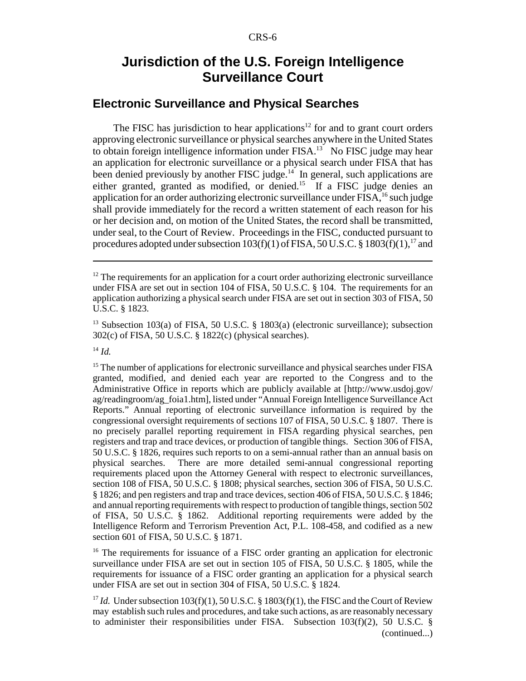## **Jurisdiction of the U.S. Foreign Intelligence Surveillance Court**

#### **Electronic Surveillance and Physical Searches**

The FISC has jurisdiction to hear applications<sup>12</sup> for and to grant court orders approving electronic surveillance or physical searches anywhere in the United States to obtain foreign intelligence information under  $FISA$ <sup>13</sup> No FISC judge may hear an application for electronic surveillance or a physical search under FISA that has been denied previously by another FISC judge.<sup>14</sup> In general, such applications are either granted, granted as modified, or denied.<sup>15</sup> If a FISC judge denies an application for an order authorizing electronic surveillance under FISA,<sup>16</sup> such judge shall provide immediately for the record a written statement of each reason for his or her decision and, on motion of the United States, the record shall be transmitted, under seal, to the Court of Review. Proceedings in the FISC, conducted pursuant to procedures adopted under subsection  $103(f)(1)$  of FISA, 50 U.S.C. § 1803 $(f)(1)$ ,<sup>17</sup> and

<sup>16</sup> The requirements for issuance of a FISC order granting an application for electronic surveillance under FISA are set out in section 105 of FISA, 50 U.S.C. § 1805, while the requirements for issuance of a FISC order granting an application for a physical search under FISA are set out in section 304 of FISA, 50 U.S.C. § 1824.

<sup>17</sup> *Id.* Under subsection 103(f)(1), 50 U.S.C. § 1803(f)(1), the FISC and the Court of Review may establish such rules and procedures, and take such actions, as are reasonably necessary to administer their responsibilities under FISA. Subsection  $103(f)(2)$ , 50 U.S.C. § (continued...)

 $12$  The requirements for an application for a court order authorizing electronic surveillance under FISA are set out in section 104 of FISA, 50 U.S.C. § 104. The requirements for an application authorizing a physical search under FISA are set out in section 303 of FISA, 50 U.S.C. § 1823.

<sup>&</sup>lt;sup>13</sup> Subsection 103(a) of FISA, 50 U.S.C. § 1803(a) (electronic surveillance); subsection 302(c) of FISA, 50 U.S.C. § 1822(c) (physical searches).

<sup>14</sup> *Id.*

<sup>&</sup>lt;sup>15</sup> The number of applications for electronic surveillance and physical searches under FISA granted, modified, and denied each year are reported to the Congress and to the Administrative Office in reports which are publicly available at [http://www.usdoj.gov/ ag/readingroom/ag\_foia1.htm], listed under "Annual Foreign Intelligence Surveillance Act Reports." Annual reporting of electronic surveillance information is required by the congressional oversight requirements of sections 107 of FISA, 50 U.S.C. § 1807. There is no precisely parallel reporting requirement in FISA regarding physical searches, pen registers and trap and trace devices, or production of tangible things. Section 306 of FISA, 50 U.S.C. § 1826, requires such reports to on a semi-annual rather than an annual basis on physical searches. There are more detailed semi-annual congressional reporting requirements placed upon the Attorney General with respect to electronic surveillances, section 108 of FISA, 50 U.S.C. § 1808; physical searches, section 306 of FISA, 50 U.S.C. § 1826; and pen registers and trap and trace devices, section 406 of FISA, 50 U.S.C. § 1846; and annual reporting requirements with respect to production of tangible things, section 502 of FISA, 50 U.S.C. § 1862. Additional reporting requirements were added by the Intelligence Reform and Terrorism Prevention Act, P.L. 108-458, and codified as a new section 601 of FISA, 50 U.S.C. § 1871.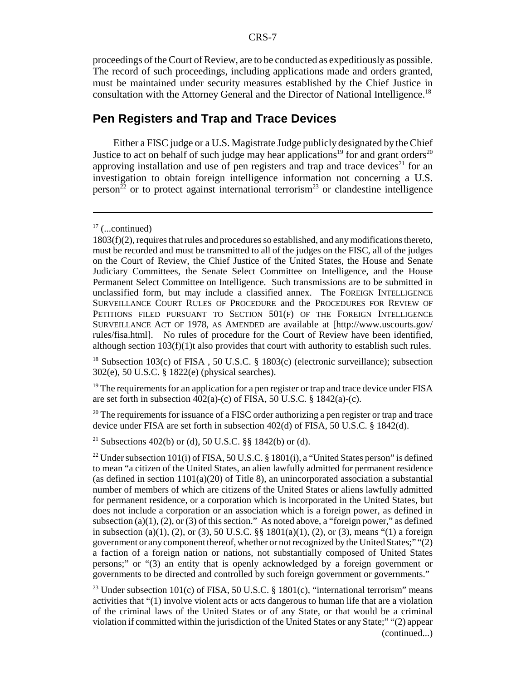proceedings of the Court of Review, are to be conducted as expeditiously as possible. The record of such proceedings, including applications made and orders granted, must be maintained under security measures established by the Chief Justice in consultation with the Attorney General and the Director of National Intelligence.18

#### **Pen Registers and Trap and Trace Devices**

Either a FISC judge or a U.S. Magistrate Judge publicly designated by the Chief Justice to act on behalf of such judge may hear applications<sup>19</sup> for and grant orders<sup>20</sup> approving installation and use of pen registers and trap and trace devices<sup>21</sup> for an investigation to obtain foreign intelligence information not concerning a U.S. person<sup> $\frac{2}{2}$ </sup> or to protect against international terrorism<sup>23</sup> or clandestine intelligence

<sup>18</sup> Subsection 103(c) of FISA, 50 U.S.C. § 1803(c) (electronic surveillance); subsection 302(e), 50 U.S.C. § 1822(e) (physical searches).

 $19$  The requirements for an application for a pen register or trap and trace device under FISA are set forth in subsection  $402(a)-(c)$  of FISA, 50 U.S.C. § 1842(a)-(c).

 $20$  The requirements for issuance of a FISC order authorizing a pen register or trap and trace device under FISA are set forth in subsection  $402(d)$  of FISA,  $50 \text{ U.S.C.}$  § 1842(d).

<sup>21</sup> Subsections 402(b) or (d), 50 U.S.C. §§ 1842(b) or (d).

<sup>22</sup> Under subsection 101(i) of FISA, 50 U.S.C. § 1801(i), a "United States person" is defined to mean "a citizen of the United States, an alien lawfully admitted for permanent residence (as defined in section  $1101(a)(20)$  of Title 8), an unincorporated association a substantial number of members of which are citizens of the United States or aliens lawfully admitted for permanent residence, or a corporation which is incorporated in the United States, but does not include a corporation or an association which is a foreign power, as defined in subsection (a)(1), (2), or (3) of this section." As noted above, a "foreign power," as defined in subsection (a)(1), (2), or (3), 50 U.S.C. §§  $1801(a)(1)$ , (2), or (3), means "(1) a foreign government or any component thereof, whether or not recognized by the United States;" "(2) a faction of a foreign nation or nations, not substantially composed of United States persons;" or "(3) an entity that is openly acknowledged by a foreign government or governments to be directed and controlled by such foreign government or governments."

<sup>23</sup> Under subsection 101(c) of FISA, 50 U.S.C. § 1801(c), "international terrorism" means activities that "(1) involve violent acts or acts dangerous to human life that are a violation of the criminal laws of the United States or of any State, or that would be a criminal violation if committed within the jurisdiction of the United States or any State;" "(2) appear (continued...)

 $17$  (...continued)

<sup>1803(</sup>f)(2), requires that rules and procedures so established, and any modifications thereto, must be recorded and must be transmitted to all of the judges on the FISC, all of the judges on the Court of Review, the Chief Justice of the United States, the House and Senate Judiciary Committees, the Senate Select Committee on Intelligence, and the House Permanent Select Committee on Intelligence. Such transmissions are to be submitted in unclassified form, but may include a classified annex. The FOREIGN INTELLIGENCE SURVEILLANCE COURT RULES OF PROCEDURE and the PROCEDURES FOR REVIEW OF PETITIONS FILED PURSUANT TO SECTION 501(F) OF THE FOREIGN INTELLIGENCE SURVEILLANCE ACT OF 1978, AS AMENDED are available at [http://www.uscourts.gov/ rules/fisa.html]. No rules of procedure for the Court of Review have been identified, although section  $103(f)(1)$ t also provides that court with authority to establish such rules.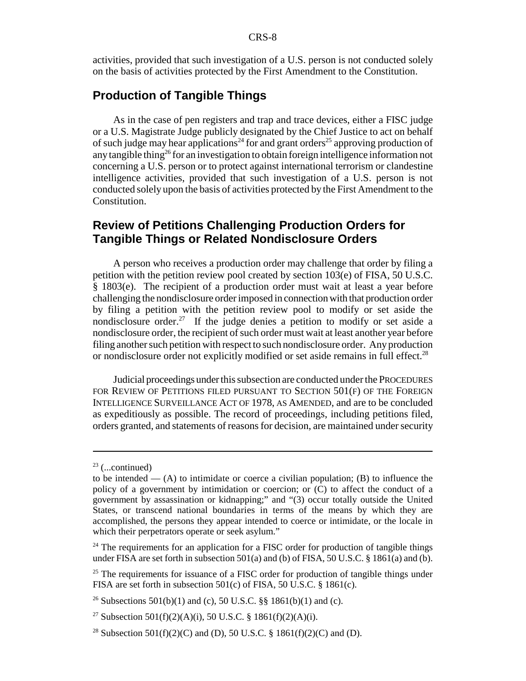activities, provided that such investigation of a U.S. person is not conducted solely on the basis of activities protected by the First Amendment to the Constitution.

#### **Production of Tangible Things**

As in the case of pen registers and trap and trace devices, either a FISC judge or a U.S. Magistrate Judge publicly designated by the Chief Justice to act on behalf of such judge may hear applications<sup>24</sup> for and grant orders<sup>25</sup> approving production of any tangible thing<sup>26</sup> for an investigation to obtain foreign intelligence information not concerning a U.S. person or to protect against international terrorism or clandestine intelligence activities, provided that such investigation of a U.S. person is not conducted solely upon the basis of activities protected by the First Amendment to the Constitution.

#### **Review of Petitions Challenging Production Orders for Tangible Things or Related Nondisclosure Orders**

A person who receives a production order may challenge that order by filing a petition with the petition review pool created by section 103(e) of FISA, 50 U.S.C. § 1803(e). The recipient of a production order must wait at least a year before challenging the nondisclosure order imposed in connection with that production order by filing a petition with the petition review pool to modify or set aside the nondisclosure order.<sup>27</sup> If the judge denies a petition to modify or set aside a nondisclosure order, the recipient of such order must wait at least another year before filing another such petition with respect to such nondisclosure order. Any production or nondisclosure order not explicitly modified or set aside remains in full effect.<sup>28</sup>

Judicial proceedings under this subsection are conducted under the PROCEDURES FOR REVIEW OF PETITIONS FILED PURSUANT TO SECTION 501(F) OF THE FOREIGN INTELLIGENCE SURVEILLANCE ACT OF 1978, AS AMENDED, and are to be concluded as expeditiously as possible. The record of proceedings, including petitions filed, orders granted, and statements of reasons for decision, are maintained under security

 $23$  (...continued)

to be intended —  $(A)$  to intimidate or coerce a civilian population;  $(B)$  to influence the policy of a government by intimidation or coercion; or (C) to affect the conduct of a government by assassination or kidnapping;" and "(3) occur totally outside the United States, or transcend national boundaries in terms of the means by which they are accomplished, the persons they appear intended to coerce or intimidate, or the locale in which their perpetrators operate or seek asylum."

 $24$  The requirements for an application for a FISC order for production of tangible things under FISA are set forth in subsection 501(a) and (b) of FISA, 50 U.S.C. § 1861(a) and (b).

 $25$  The requirements for issuance of a FISC order for production of tangible things under FISA are set forth in subsection 501(c) of FISA, 50 U.S.C. § 1861(c).

<sup>&</sup>lt;sup>26</sup> Subsections 501(b)(1) and (c), 50 U.S.C. §§ 1861(b)(1) and (c).

<sup>&</sup>lt;sup>27</sup> Subsection 501(f)(2)(A)(i), 50 U.S.C. § 1861(f)(2)(A)(i).

<sup>&</sup>lt;sup>28</sup> Subsection 501(f)(2)(C) and (D), 50 U.S.C. § 1861(f)(2)(C) and (D).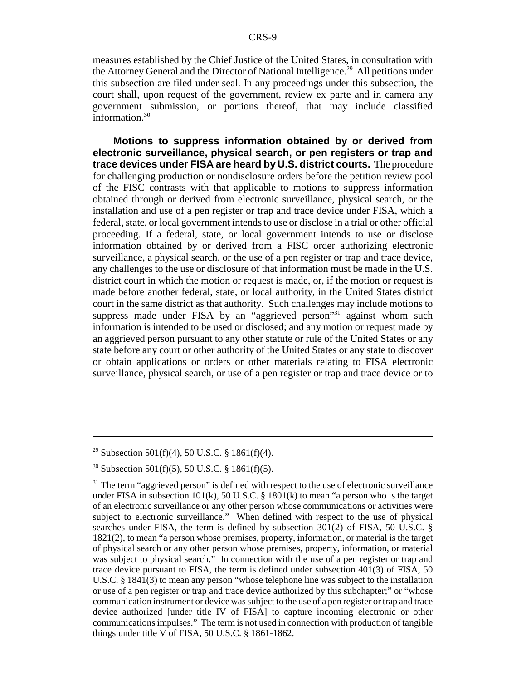measures established by the Chief Justice of the United States, in consultation with the Attorney General and the Director of National Intelligence.<sup>29</sup> All petitions under this subsection are filed under seal. In any proceedings under this subsection, the court shall, upon request of the government, review ex parte and in camera any government submission, or portions thereof, that may include classified information.<sup>30</sup>

**Motions to suppress information obtained by or derived from electronic surveillance, physical search, or pen registers or trap and trace devices under FISA are heard by U.S. district courts.** The procedure for challenging production or nondisclosure orders before the petition review pool of the FISC contrasts with that applicable to motions to suppress information obtained through or derived from electronic surveillance, physical search, or the installation and use of a pen register or trap and trace device under FISA, which a federal, state, or local government intends to use or disclose in a trial or other official proceeding. If a federal, state, or local government intends to use or disclose information obtained by or derived from a FISC order authorizing electronic surveillance, a physical search, or the use of a pen register or trap and trace device, any challenges to the use or disclosure of that information must be made in the U.S. district court in which the motion or request is made, or, if the motion or request is made before another federal, state, or local authority, in the United States district court in the same district as that authority. Such challenges may include motions to suppress made under FISA by an "aggrieved person"<sup>31</sup> against whom such information is intended to be used or disclosed; and any motion or request made by an aggrieved person pursuant to any other statute or rule of the United States or any state before any court or other authority of the United States or any state to discover or obtain applications or orders or other materials relating to FISA electronic surveillance, physical search, or use of a pen register or trap and trace device or to

<sup>&</sup>lt;sup>29</sup> Subsection 501(f)(4), 50 U.S.C. § 1861(f)(4).

 $30$  Subsection 501(f)(5), 50 U.S.C. § 1861(f)(5).

 $31$  The term "aggrieved person" is defined with respect to the use of electronic surveillance under FISA in subsection  $101(k)$ , 50 U.S.C. § 1801(k) to mean "a person who is the target of an electronic surveillance or any other person whose communications or activities were subject to electronic surveillance." When defined with respect to the use of physical searches under FISA, the term is defined by subsection 301(2) of FISA, 50 U.S.C. § 1821(2), to mean "a person whose premises, property, information, or material is the target of physical search or any other person whose premises, property, information, or material was subject to physical search." In connection with the use of a pen register or trap and trace device pursuant to FISA, the term is defined under subsection 401(3) of FISA, 50 U.S.C. § 1841(3) to mean any person "whose telephone line was subject to the installation or use of a pen register or trap and trace device authorized by this subchapter;" or "whose communication instrument or device was subject to the use of a pen register or trap and trace device authorized [under title IV of FISA] to capture incoming electronic or other communications impulses." The term is not used in connection with production of tangible things under title V of FISA, 50 U.S.C. § 1861-1862.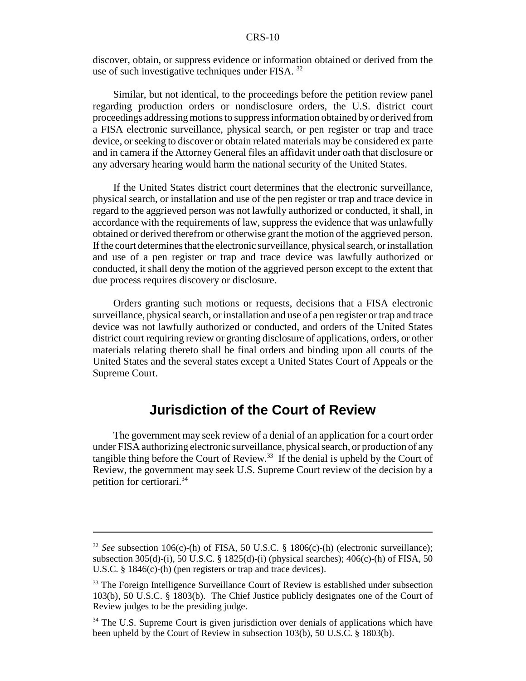discover, obtain, or suppress evidence or information obtained or derived from the use of such investigative techniques under FISA. <sup>32</sup>

Similar, but not identical, to the proceedings before the petition review panel regarding production orders or nondisclosure orders, the U.S. district court proceedings addressing motions to suppress information obtained by or derived from a FISA electronic surveillance, physical search, or pen register or trap and trace device, or seeking to discover or obtain related materials may be considered ex parte and in camera if the Attorney General files an affidavit under oath that disclosure or any adversary hearing would harm the national security of the United States.

If the United States district court determines that the electronic surveillance, physical search, or installation and use of the pen register or trap and trace device in regard to the aggrieved person was not lawfully authorized or conducted, it shall, in accordance with the requirements of law, suppress the evidence that was unlawfully obtained or derived therefrom or otherwise grant the motion of the aggrieved person. If the court determines that the electronic surveillance, physical search, or installation and use of a pen register or trap and trace device was lawfully authorized or conducted, it shall deny the motion of the aggrieved person except to the extent that due process requires discovery or disclosure.

Orders granting such motions or requests, decisions that a FISA electronic surveillance, physical search, or installation and use of a pen register or trap and trace device was not lawfully authorized or conducted, and orders of the United States district court requiring review or granting disclosure of applications, orders, or other materials relating thereto shall be final orders and binding upon all courts of the United States and the several states except a United States Court of Appeals or the Supreme Court.

## **Jurisdiction of the Court of Review**

The government may seek review of a denial of an application for a court order under FISA authorizing electronic surveillance, physical search, or production of any tangible thing before the Court of Review.<sup>33</sup> If the denial is upheld by the Court of Review, the government may seek U.S. Supreme Court review of the decision by a petition for certiorari.34

<sup>&</sup>lt;sup>32</sup> *See* subsection 106(c)-(h) of FISA, 50 U.S.C. § 1806(c)-(h) (electronic surveillance); subsection 305(d)-(i), 50 U.S.C. § 1825(d)-(i) (physical searches); 406(c)-(h) of FISA, 50 U.S.C. § 1846(c)-(h) (pen registers or trap and trace devices).

<sup>&</sup>lt;sup>33</sup> The Foreign Intelligence Surveillance Court of Review is established under subsection 103(b), 50 U.S.C. § 1803(b). The Chief Justice publicly designates one of the Court of Review judges to be the presiding judge.

<sup>&</sup>lt;sup>34</sup> The U.S. Supreme Court is given jurisdiction over denials of applications which have been upheld by the Court of Review in subsection 103(b), 50 U.S.C. § 1803(b).